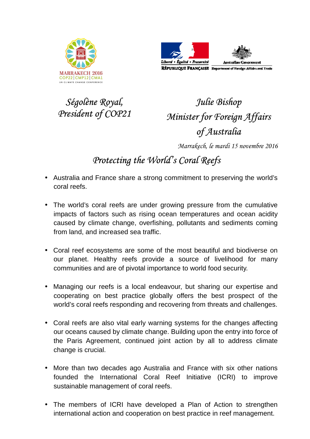



*Ségolène Royal, President of COP21* 

## *Julie Bishop Minister for Foreign Affairs of Australia*

*Marrakech, le mardi 15 novembre 2016* 

## *Protecting the World's Coral Reefs*

- Australia and France share a strong commitment to preserving the world's coral reefs.
- The world's coral reefs are under growing pressure from the cumulative impacts of factors such as rising ocean temperatures and ocean acidity caused by climate change, overfishing, pollutants and sediments coming from land, and increased sea traffic.
- Coral reef ecosystems are some of the most beautiful and biodiverse on our planet. Healthy reefs provide a source of livelihood for many communities and are of pivotal importance to world food security.
- Managing our reefs is a local endeavour, but sharing our expertise and cooperating on best practice globally offers the best prospect of the world's coral reefs responding and recovering from threats and challenges.
- Coral reefs are also vital early warning systems for the changes affecting our oceans caused by climate change. Building upon the entry into force of the Paris Agreement, continued joint action by all to address climate change is crucial.
- More than two decades ago Australia and France with six other nations founded the International Coral Reef Initiative (ICRI) to improve sustainable management of coral reefs.
- The members of ICRI have developed a Plan of Action to strengthen international action and cooperation on best practice in reef management.